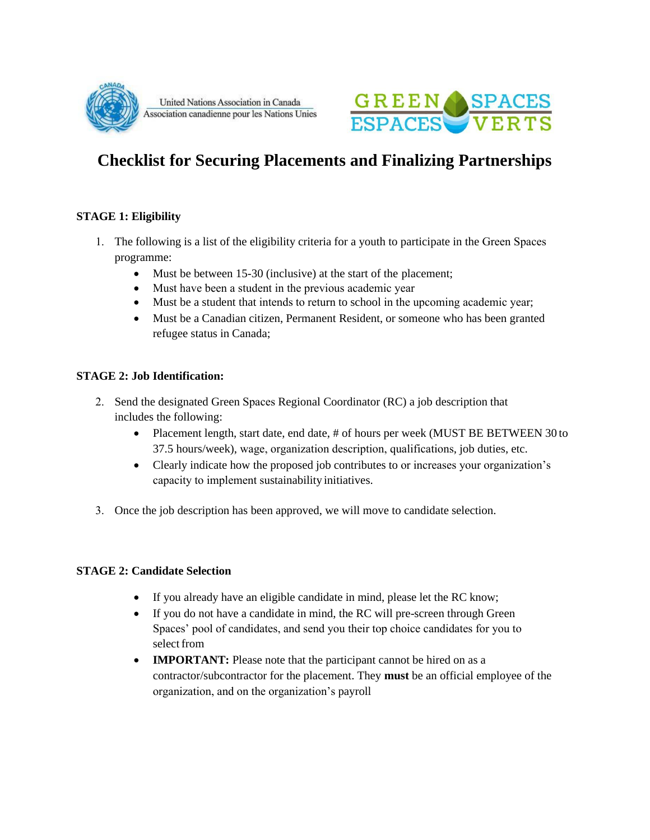

United Nations Association in Canada Association canadienne pour les Nations Unies



# **Checklist for Securing Placements and Finalizing Partnerships**

# **STAGE 1: Eligibility**

- 1. The following is a list of the eligibility criteria for a youth to participate in the Green Spaces programme:
	- Must be between 15-30 (inclusive) at the start of the placement;
	- Must have been a student in the previous academic year
	- Must be a student that intends to return to school in the upcoming academic year;
	- Must be a Canadian citizen, Permanent Resident, or someone who has been granted refugee status in Canada;

### **STAGE 2: Job Identification:**

- 2. Send the designated Green Spaces Regional Coordinator (RC) a job description that includes the following:
	- Placement length, start date, end date, # of hours per week (MUST BE BETWEEN 30 to 37.5 hours/week), wage, organization description, qualifications, job duties, etc.
	- Clearly indicate how the proposed job contributes to or increases your organization's capacity to implement sustainability initiatives.
- 3. Once the job description has been approved, we will move to candidate selection.

#### **STAGE 2: Candidate Selection**

- If you already have an eligible candidate in mind, please let the RC know;
- If you do not have a candidate in mind, the RC will pre-screen through Green Spaces' pool of candidates, and send you their top choice candidates for you to select from
- **IMPORTANT:** Please note that the participant cannot be hired on as a contractor/subcontractor for the placement. They **must** be an official employee of the organization, and on the organization's payroll